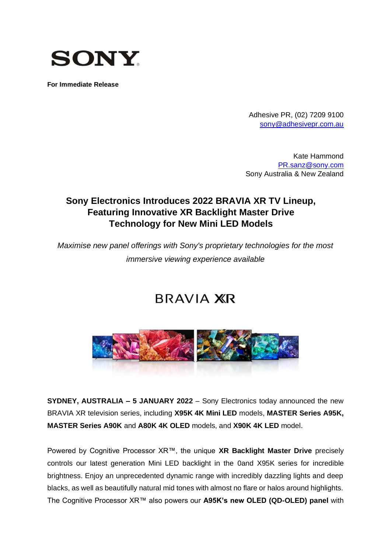

**For Immediate Release**

Adhesive PR, (02) 7209 9100 [sony@adhesivepr.com.au](mailto:sony@adhesivepr.com.au)

Kate Hammond [PR.sanz@sony.com](mailto:PR.sanz@sony.com) Sony Australia & New Zealand

## **Sony Electronics Introduces 2022 BRAVIA XR TV Lineup, Featuring Innovative XR Backlight Master Drive Technology for New Mini LED Models**

*Maximise new panel offerings with Sony's proprietary technologies for the most immersive viewing experience available*

# **BRAVIA XR**



**SYDNEY, AUSTRALIA – 5 JANUARY 2022** – Sony Electronics today announced the new BRAVIA XR television series, including **X95K 4K Mini LED** models, **MASTER Series A95K, MASTER Series A90K** and **A80K 4K OLED** models, and **X90K 4K LED** model.

Powered by Cognitive Processor XR™, the unique **XR Backlight Master Drive** precisely controls our latest generation Mini LED backlight in the 0and X95K series for incredible brightness. Enjoy an unprecedented dynamic range with incredibly dazzling lights and deep blacks, as well as beautifully natural mid tones with almost no flare or halos around highlights. The Cognitive Processor XR™ also powers our **A95K's new OLED (QD-OLED) panel** with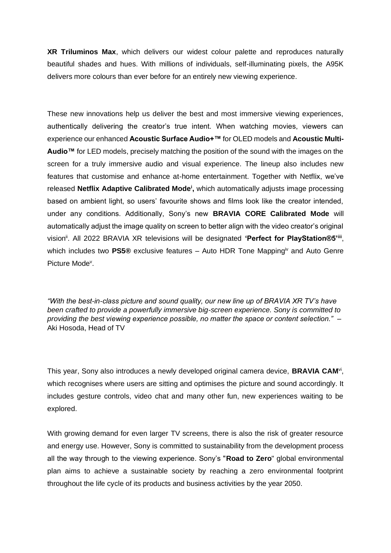**XR Triluminos Max**, which delivers our widest colour palette and reproduces naturally beautiful shades and hues. With millions of individuals, self-illuminating pixels, the A95K delivers more colours than ever before for an entirely new viewing experience.

<span id="page-1-2"></span>These new innovations help us deliver the best and most immersive viewing experiences, authentically delivering the creator's true intent. When watching movies, viewers can experience our enhanced **Acoustic Surface Audio+™** for OLED models and **Acoustic Multi-Audio™** for LED models, precisely matching the position of the sound with the images on the screen for a truly immersive audio and visual experience. The lineup also includes new features that customise and enhance at-home entertainment. Together with Netflix, we've released **Netflix Adaptive Calibrated Mode<sup>i</sup> ,** which automatically adjusts image processing based on ambient light, so users' favourite shows and films look like the creator intended, under any conditions. Additionally, Sony's new **BRAVIA CORE Calibrated Mode** will automatically adjust the image quality on screen to better align with the video creator's original vision<sup>ii</sup>. All 2022 BRAVIA XR televisions will be designated 'Perfect for PlayStation®5'iii, which includes two **PS5®** exclusive features – Auto HDR Tone Mappingiv and Auto Genre Picture Mode<sup>v</sup>.

<span id="page-1-3"></span><span id="page-1-1"></span>*"With the best-in-class picture and sound quality, our new line up of BRAVIA XR TV's have been crafted to provide a powerfully immersive big-screen experience. Sony is committed to providing the best viewing experience possible, no matter the space or content selection."* – Aki Hosoda, Head of TV

<span id="page-1-0"></span>This year, Sony also introduces a newly developed original camera device, **BRAVIA CAM**<sup>vi</sup>, which recognises where users are sitting and optimises the picture and sound accordingly. It includes gesture controls, video chat and many other fun, new experiences waiting to be explored.

With growing demand for even larger TV screens, there is also the risk of greater resource and energy use. However, Sony is committed to sustainability from the development process all the way through to the viewing experience. Sony's "**Road to Zero**" global environmental plan aims to achieve a sustainable society by reaching a zero environmental footprint throughout the life cycle of its products and business activities by the year 2050.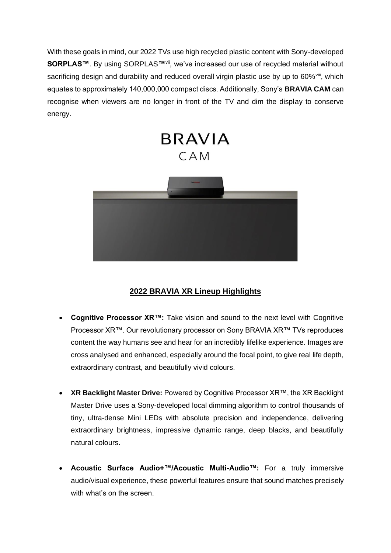With these goals in mind, our 2022 TVs use high recycled plastic content with Sony-developed **SORPLAS™**. By using SORPLAS**™**vii, we've increased our use of recycled material without sacrificing design and durability and reduced overall virgin plastic use by up to 60%<sup>viii</sup>, which equates to approximately 140,000,000 compact discs. Additionally, Sony's **BRAVIA CAM** can recognise when viewers are no longer in front of the TV and dim the display to conserve energy.

<span id="page-2-1"></span><span id="page-2-0"></span>

## **2022 BRAVIA XR Lineup Highlights**

- **Cognitive Processor XR™:** Take vision and sound to the next level with Cognitive Processor XR™. Our revolutionary processor on Sony BRAVIA XR™ TVs reproduces content the way humans see and hear for an incredibly lifelike experience. Images are cross analysed and enhanced, especially around the focal point, to give real life depth, extraordinary contrast, and beautifully vivid colours.
- **XR Backlight Master Drive:** Powered by Cognitive Processor XR™, the XR Backlight Master Drive uses a Sony-developed local dimming algorithm to control thousands of tiny, ultra-dense Mini LEDs with absolute precision and independence, delivering extraordinary brightness, impressive dynamic range, deep blacks, and beautifully natural colours.
- **Acoustic Surface Audio+™/Acoustic Multi-Audio™:** For a truly immersive audio/visual experience, these powerful features ensure that sound matches precisely with what's on the screen.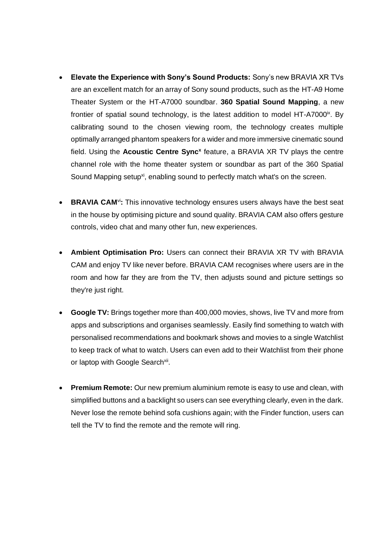- **Elevate the Experience with Sony's Sound Products:** Sony's new BRAVIA XR TVs are an excellent match for an array of Sony sound products, such as the HT-A9 Home Theater System or the HT-A7000 soundbar. **360 Spatial Sound Mapping**, a new frontier of spatial sound technology, is the latest addition to model HT-A7000 $\alpha$ . By calibrating sound to the chosen viewing room, the technology creates multiple optimally arranged phantom speakers for a wider and more immersive cinematic sound field. Using the Acoustic Centre Sync<sup>x</sup> feature, a BRAVIA XR TV plays the centre channel role with the home theater system or soundbar as part of the 360 Spatial Sound Mapping setup<sup>xi</sup>, enabling sound to perfectly match what's on the screen.
- <span id="page-3-0"></span>• **BRAVIA CAM**<sup>[vi](#page-1-0)</sup>: This innovative technology ensures users always have the best seat in the house by optimising picture and sound quality. BRAVIA CAM also offers gesture controls, video chat and many other fun, new experiences.
- **Ambient Optimisation Pro:** Users can connect their BRAVIA XR TV with BRAVIA CAM and enjoy TV like never before. BRAVIA CAM recognises where users are in the room and how far they are from the TV, then adjusts sound and picture settings so they're just right.
- **Google TV:** Brings together more than 400,000 movies, shows, live TV and more from apps and subscriptions and organises seamlessly. Easily find something to watch with personalised recommendations and bookmark shows and movies to a single Watchlist to keep track of what to watch. Users can even add to their Watchlist from their phone or laptop with Google Search<sup>xii</sup>.
- <span id="page-3-1"></span>• **Premium Remote:** Our new premium aluminium remote is easy to use and clean, with simplified buttons and a backlight so users can see everything clearly, even in the dark. Never lose the remote behind sofa cushions again; with the Finder function, users can tell the TV to find the remote and the remote will ring.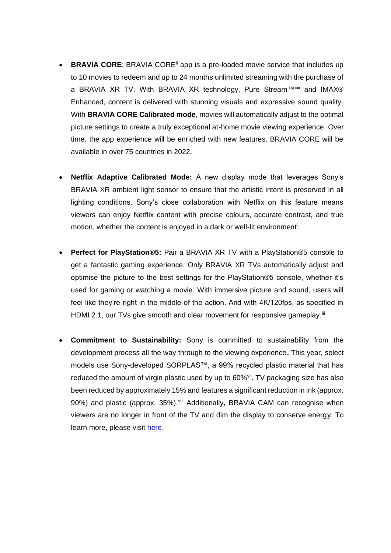- **BRAVIA CORE:** BRAVIA CORE<sup>II</sup> app is a pre-loaded movie service that includes up to 10 movies to redeem and up to 24 months unlimited streaming with the purchase of a BRAVIA XR TV. With BRAVIA XR technology, Pure Stream™xiii and IMAX® Enhanced, content is delivered with stunning visuals and expressive sound quality. With **BRAVIA CORE Calibrated mode**, movies will automatically adjust to the optimal picture settings to create a truly exceptional at-home movie viewing experience. Over time, the app experience will be enriched with new features. BRAVIA CORE will be available in over 75 countries in 2022.
- **Netflix Adaptive Calibrated Mode:** A new display mode that leverages Sony's BRAVIA XR ambient light sensor to ensure that the artistic intent is preserved in all lighting conditions. Sony's close collaboration with Netflix on this feature means viewers can enjoy Netflix content with precise colours, accurate contrast, and true mo[t](#page-1-2)ion, whether the content is enjoyed in a dark or well-lit environment<sup>i</sup>.
- **Perfect for PlayStation®5:** Pair a BRAVIA XR TV with a PlayStation®5 console to get a fantastic gaming experience. Only BRAVIA XR TVs automatically adjust and optimise the picture to the best settings for the PlayStation®5 console, whether it's used for gaming or watching a movie. With immersive picture and sound, users will feel like they're right in the middle of the action. And with 4K/120fps, as specified in HDMI 2.1, our TVs give smooth and clear movement for responsive gameplay.<sup>[iii](#page-1-3)</sup>
- **Commitment to Sustainability:** Sony is committed to sustainability from the development process all the way through to the viewing experience**.** This year, select models use Sony-developed SORPLAS™, a 99% recycled plastic material that has reduced the amount of virgin plastic used by up to 60%<sup>[vii](#page-2-0)</sup>. TV packaging size has also been reduced by approximately 15% and features a significant reduction in ink (approx. 90%) and plastic (approx. 35%).<sup>[viii](#page-2-1)</sup> Additionally, BRAVIA CAM can recognise when viewers are no longer in front of the TV and dim the display to conserve energy. To learn more, please visit [here.](https://www.sony.net/electronics/eco-tv?press-release.)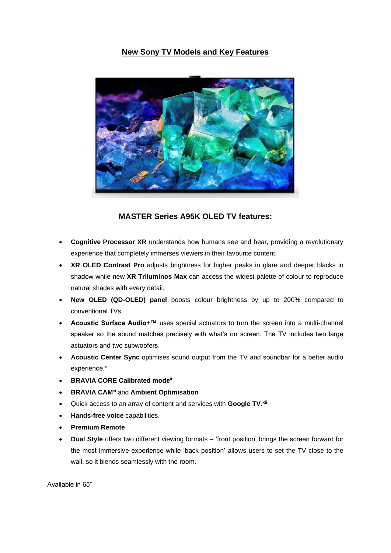#### **New Sony TV Models and Key Features**



### **MASTER Series A95K OLED TV features:**

- **Cognitive Processor XR** understands how humans see and hear, providing a revolutionary experience that completely immerses viewers in their favourite content.
- **XR OLED Contrast Pro** adjusts brightness for higher peaks in glare and deeper blacks in shadow while new **XR Triluminos Max** can access the widest palette of colour to reproduce natural shades with every detail.
- **New OLED (QD-OLED) panel** boosts colour brightness by up to 200% compared to conventional TVs.
- **Acoustic Surface Audio+™** uses special actuators to turn the screen into a multi-channel speaker so the sound matches precisely with what's on screen. The TV includes two large actuators and two subwoofers.
- **Acoustic Center Sync** optimises sound output from the TV and soundbar for a better audio experience[.](#page-3-0)<sup>x</sup>
- **BRAVIA CORE Calibrated mod[e](#page-1-1)**ii
- **BRAVIA CAM**[vi](#page-1-0) and **Ambient Optimisation**
- Quick access to an array of content and services with **Google TV.[xii](#page-3-1)**
- **Hands-free voice** capabilities.
- **Premium Remote**
- **Dual Style** offers two different viewing formats 'front position' brings the screen forward for the most immersive experience while 'back position' allows users to set the TV close to the wall, so it blends seamlessly with the room.

Available in 65"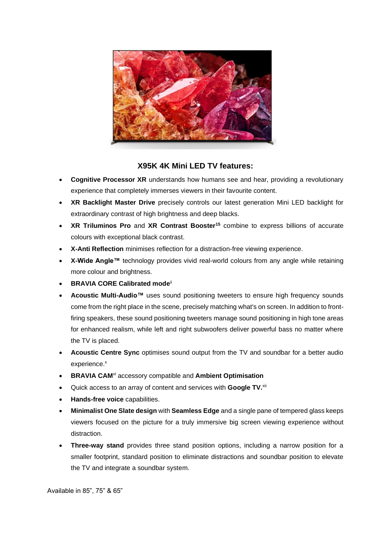

#### **X95K 4K Mini LED TV features:**

- **Cognitive Processor XR** understands how humans see and hear, providing a revolutionary experience that completely immerses viewers in their favourite content.
- **XR Backlight Master Drive** precisely controls our latest generation Mini LED backlight for extraordinary contrast of high brightness and deep blacks.
- **XR Triluminos Pro** and **XR Contrast Booster<sup>15</sup>** combine to express billions of accurate colours with exceptional black contrast.
- **X-Anti Reflection** minimises reflection for a distraction-free viewing experience.
- **X-Wide Angle™** technology provides vivid real-world colours from any angle while retaining more colour and brightness.
- **BRAVIA CORE Calibrated mod[e](#page-1-1)**ii
- **Acoustic Multi-Audio™** uses sound positioning tweeters to ensure high frequency sounds come from the right place in the scene, precisely matching what's on screen. In addition to frontfiring speakers, these sound positioning tweeters manage sound positioning in high tone areas for enhanced realism, while left and right subwoofers deliver powerful bass no matter where the TV is placed.
- **Acoustic Centre Sync** optimises sound output from the TV and soundbar for a better audio experience[.](#page-3-0)<sup>x</sup>
- **BRAVIA CAM**[vi](#page-1-0) accessory compatible and **Ambient Optimisation**
- Quick access to an array of content and services with **Google TV.**[xii](#page-3-1)
- **Hands-free voice** capabilities.
- **Minimalist One Slate design** with **Seamless Edge** and a single pane of tempered glass keeps viewers focused on the picture for a truly immersive big screen viewing experience without distraction.
- **Three-way stand** provides three stand position options, including a narrow position for a smaller footprint, standard position to eliminate distractions and soundbar position to elevate the TV and integrate a soundbar system.

Available in 85", 75" & 65"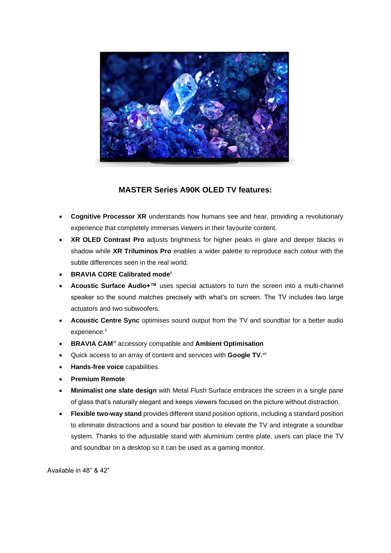

### **MASTER Series A90K OLED TV features:**

- **Cognitive Processor XR** understands how humans see and hear, providing a revolutionary experience that completely immerses viewers in their favourite content.
- **XR OLED Contrast Pro** adjusts brightness for higher peaks in glare and deeper blacks in shadow while **XR Triluminos Pro** enables a wider palette to reproduce each colour with the subtle differences seen in the real world.
- **BRAVIA CORE Calibrated mod[e](#page-1-1)**ii
- **Acoustic Surface Audio+™** uses special actuators to turn the screen into a multi-channel speaker so the sound matches precisely with what's on screen. The TV includes two large actuators and two subwoofers.
- **Acoustic Centre Sync** optimises sound output from the TV and soundbar for a better audio experience[.](#page-3-0)<sup>x</sup>
- **BRAVIA CAM**[vi](#page-1-0) accessory compatible and **Ambient Optimisation**
- Quick access to an array of content and services with **Google TV.**[xii](#page-3-1)
- **Hands-free voice** capabilities.
- **Premium Remote**
- **Minimalist one slate design** with Metal Flush Surface embraces the screen in a single pane of glass that's naturally elegant and keeps viewers focused on the picture without distraction.
- **Flexible two-way stand** provides different stand position options, including a standard position to eliminate distractions and a sound bar position to elevate the TV and integrate a soundbar system. Thanks to the adjustable stand with aluminium centre plate, users can place the TV and soundbar on a desktop so it can be used as a gaming monitor.

Available in 48" & 42"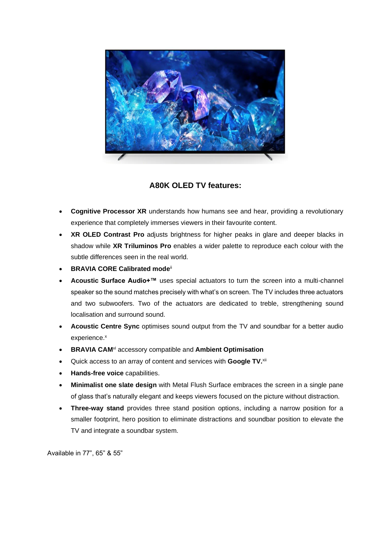

### **A80K OLED TV features:**

- **Cognitive Processor XR** understands how humans see and hear, providing a revolutionary experience that completely immerses viewers in their favourite content.
- **XR OLED Contrast Pro** adjusts brightness for higher peaks in glare and deeper blacks in shadow while **XR Triluminos Pro** enables a wider palette to reproduce each colour with the subtle differences seen in the real world.
- **BRAVIA CORE Calibrated mod[e](#page-1-1)**ii
- **Acoustic Surface Audio+™** uses special actuators to turn the screen into a multi-channel speaker so the sound matches precisely with what's on screen. The TV includes three actuators and two subwoofers. Two of the actuators are dedicated to treble, strengthening sound localisation and surround sound.
- **Acoustic Centre Sync** optimises sound output from the TV and soundbar for a better audio experience[.](#page-3-0)<sup>x</sup>
- **BRAVIA CAM**[vi](#page-1-0) accessory compatible and **Ambient Optimisation**
- Quick access to an array of content and services with **Google TV.**[xii](#page-3-1)
- **Hands-free voice** capabilities.
- **Minimalist one slate design** with Metal Flush Surface embraces the screen in a single pane of glass that's naturally elegant and keeps viewers focused on the picture without distraction.
- **Three-way stand** provides three stand position options, including a narrow position for a smaller footprint, hero position to eliminate distractions and soundbar position to elevate the TV and integrate a soundbar system.

Available in 77", 65" & 55"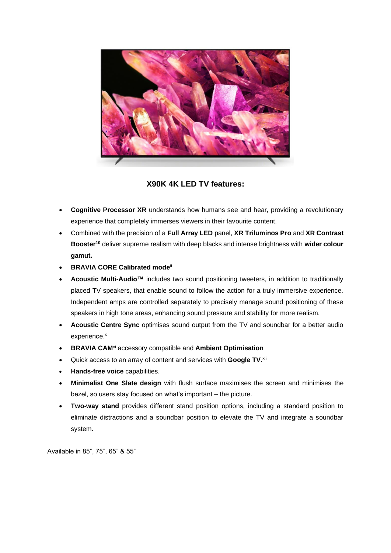

**X90K 4K LED TV features:**

- **Cognitive Processor XR** understands how humans see and hear, providing a revolutionary experience that completely immerses viewers in their favourite content.
- Combined with the precision of a **Full Array LED** panel, **XR Triluminos Pro** and **XR Contrast Booster<sup>10</sup>** deliver supreme realism with deep blacks and intense brightness with **wider colour gamut.**
- **BRAVIA CORE Calibrated mod[e](#page-1-1)**ii
- **Acoustic Multi-Audio™** includes two sound positioning tweeters, in addition to traditionally placed TV speakers, that enable sound to follow the action for a truly immersive experience. Independent amps are controlled separately to precisely manage sound positioning of these speakers in high tone areas, enhancing sound pressure and stability for more realism.
- **Acoustic Centre Sync** optimises sound output from the TV and soundbar for a better audio experience[.](#page-3-0)<sup>x</sup>
- **BRAVIA CAM**[vi](#page-1-0) accessory compatible and **Ambient Optimisation**
- Quick access to an array of content and services with **Google TV.**[xii](#page-3-1)
- **Hands-free voice** capabilities.
- **Minimalist One Slate design** with flush surface maximises the screen and minimises the bezel, so users stay focused on what's important – the picture.
- **Two-way stand** provides different stand position options, including a standard position to eliminate distractions and a soundbar position to elevate the TV and integrate a soundbar system.

Available in 85", 75", 65" & 55"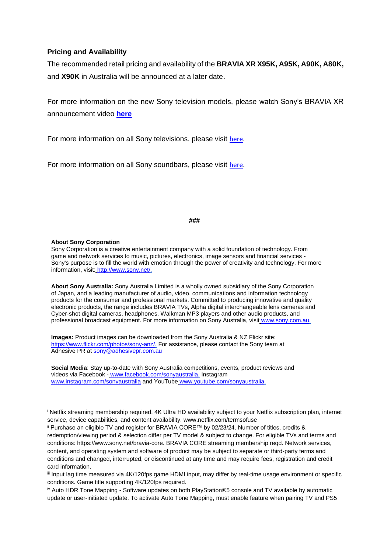#### **Pricing and Availability**

The recommended retail pricing and availability of the **BRAVIA XR X95K, A95K, A90K, A80K,**  and **X90K** in Australia will be announced at a later date.

For more information on the new Sony television models, please watch Sony's BRAVIA XR announcement video **[here](https://youtu.be/IVyjshlXeeI)**

For more information on all Sony televisions, please visit [here.](https://www.sony.com.au/electronics/tv/t/televisions)

For more information on all Sony soundbars, please visit [here.](https://www.sony.com.au/electronics/home-cinema/t/sound-bars)

**###**

#### **About Sony Corporation**

Sony Corporation is a creative entertainment company with a solid foundation of technology. From game and network services to music, pictures, electronics, image sensors and financial services - Sony's purpose is to fill the world with emotion through the power of creativity and technology. For more information, visit: [http://www.sony.net/.](http://www.sony.net/)

**About Sony Australia:** Sony Australia Limited is a wholly owned subsidiary of the Sony Corporation of Japan, and a leading manufacturer of audio, video, communications and information technology products for the consumer and professional markets. Committed to producing innovative and quality electronic products, the range includes BRAVIA TVs, Alpha digital interchangeable lens cameras and Cyber-shot digital cameras, headphones, Walkman MP3 players and other audio products, and professional broadcast equipment. For more information on Sony Australia, visit [www.sony.com.au.](http://www.sony.com.au/)

**Images:** Product images can be downloaded from the Sony Australia & NZ Flickr sit[e:](https://www.flickr.com/photos/sony-anz/) [https://www.flickr.com/photos/sony-anz/.](https://www.flickr.com/photos/sony-anz/) For assistance, please contact the Sony team at Adhesive PR at sony@adhesivepr.com.au

**Social Media**: Stay up-to-date with Sony Australia competitions, events, product reviews and videos via Facebook - [www.facebook.com/sonyaustralia,](http://www.facebook.com/sonyaustralia) Instagra[m](http://www.instagram.com/sonyaustralia) [www.instagram.com/sonyaustralia](http://www.instagram.com/sonyaustralia) and YouTube [www.youtube.com/sonyaustralia.](http://www.youtube.com/sonyaustralia)

<sup>i</sup> Netflix streaming membership required. 4K Ultra HD availability subject to your Netflix subscription plan, internet service, device capabilities, and content availability. www.netflix.com/termsofuse

ii Purchase an eligible TV and register for BRAVIA CORE™ by 02/23/24. Number of titles, credits & redemption/viewing period & selection differ per TV model & subject to change. For eligible TVs and terms and conditions: https://www.sony.net/bravia-core. BRAVIA CORE streaming membership reqd. Network services, content, and operating system and software of product may be subject to separate or third-party terms and conditions and changed, interrupted, or discontinued at any time and may require fees, registration and credit card information.

iii Input lag time measured via 4K/120fps game HDMI input, may differ by real-time usage environment or specific conditions. Game title supporting 4K/120fps required.

iv Auto HDR Tone Mapping - Software updates on both PlayStation®5 console and TV available by automatic update or user-initiated update. To activate Auto Tone Mapping, must enable feature when pairing TV and PS5